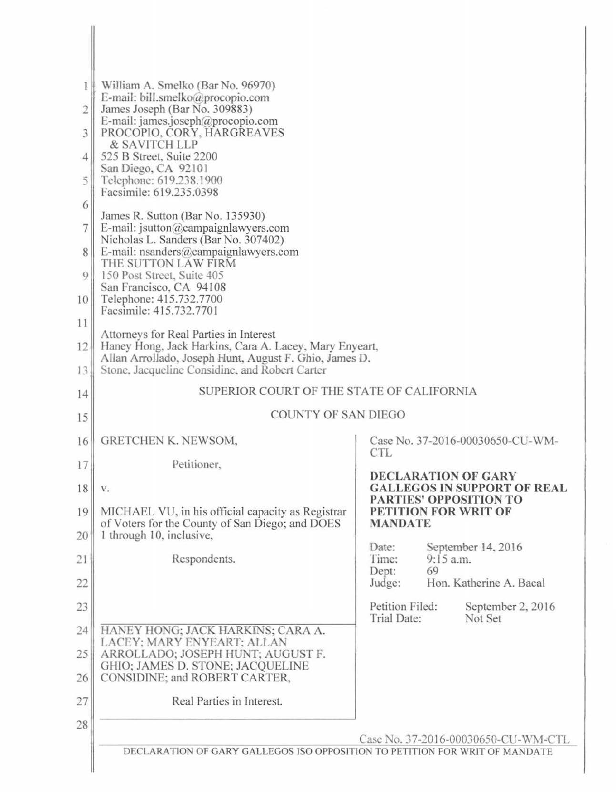| I<br>$\overline{2}$<br>3<br>4<br>5<br>6<br>$\overline{7}$<br>8<br>9<br>10<br>11<br>12 | William A. Smelko (Bar No. 96970).<br>E-mail: bill.smelko@procopio.com<br>James Joseph (Bar No. 309883)<br>E-mail: james.joseph@procopio.com<br>PROCOPIO, CORY, HARGREAVES<br>& SAVITCH LLP<br>525 B Street, Suite 2200<br>San Diego, CA 92101<br>Telephone: 619.238.1900<br>Facsimile: 619.235.0398<br>James R. Sutton (Bar No. 135930)<br>E-mail: jsutton@campaignlawyers.com<br>Nicholas L. Sanders (Bar No. 307402)<br>E-mail: nsanders@campaignlawyers.com<br>THE SUTTON LAW FIRM<br>150 Post Street, Suite 405<br>San Francisco, CA 94108<br>Telephone: 415.732.7700<br>Facsimile: 415.732.7701<br>Attorneys for Real Parties in Interest<br>Haney Hong, Jack Harkins, Cara A. Lacey, Mary Enyeart,<br>Allan Arrollado, Joseph Hunt, August F. Ghio, James D. |                                                                                                                           |
|---------------------------------------------------------------------------------------|---------------------------------------------------------------------------------------------------------------------------------------------------------------------------------------------------------------------------------------------------------------------------------------------------------------------------------------------------------------------------------------------------------------------------------------------------------------------------------------------------------------------------------------------------------------------------------------------------------------------------------------------------------------------------------------------------------------------------------------------------------------------|---------------------------------------------------------------------------------------------------------------------------|
| 13                                                                                    | Stone, Jacqueline Considine, and Robert Carter                                                                                                                                                                                                                                                                                                                                                                                                                                                                                                                                                                                                                                                                                                                      |                                                                                                                           |
| 14                                                                                    | SUPERIOR COURT OF THE STATE OF CALIFORNIA                                                                                                                                                                                                                                                                                                                                                                                                                                                                                                                                                                                                                                                                                                                           |                                                                                                                           |
| 15                                                                                    | <b>COUNTY OF SAN DIEGO</b>                                                                                                                                                                                                                                                                                                                                                                                                                                                                                                                                                                                                                                                                                                                                          |                                                                                                                           |
| 16                                                                                    | GRETCHEN K. NEWSOM,                                                                                                                                                                                                                                                                                                                                                                                                                                                                                                                                                                                                                                                                                                                                                 | Case No. 37-2016-00030650-CU-WM-                                                                                          |
| 17                                                                                    | Petitioner,                                                                                                                                                                                                                                                                                                                                                                                                                                                                                                                                                                                                                                                                                                                                                         | <b>CTL</b>                                                                                                                |
| 18<br>19                                                                              | V.<br>MICHAEL VU, in his official capacity as Registrar                                                                                                                                                                                                                                                                                                                                                                                                                                                                                                                                                                                                                                                                                                             | <b>DECLARATION OF GARY</b><br><b>GALLEGOS IN SUPPORT OF REAL</b><br><b>PARTIES' OPPOSITION TO</b><br>PETITION FOR WRIT OF |
| 20                                                                                    | of Voters for the County of San Diego; and DOES<br>1 through 10, inclusive,                                                                                                                                                                                                                                                                                                                                                                                                                                                                                                                                                                                                                                                                                         | <b>MANDATE</b>                                                                                                            |
| 21                                                                                    | Respondents.                                                                                                                                                                                                                                                                                                                                                                                                                                                                                                                                                                                                                                                                                                                                                        | September 14, 2016<br>Date:<br>$9:15$ a.m.<br>Time:                                                                       |
| 22                                                                                    |                                                                                                                                                                                                                                                                                                                                                                                                                                                                                                                                                                                                                                                                                                                                                                     | 69<br>Dept:<br>Hon. Katherine A. Bacal<br>Judge:                                                                          |
| 23                                                                                    |                                                                                                                                                                                                                                                                                                                                                                                                                                                                                                                                                                                                                                                                                                                                                                     | Petition Filed:<br>September 2, 2016<br>Not Set<br>Trial Date:                                                            |
| 24                                                                                    | HANEY HONG; JACK HARKINS; CARA A.<br>LACEY: MARY ENYEART: ALLAN                                                                                                                                                                                                                                                                                                                                                                                                                                                                                                                                                                                                                                                                                                     |                                                                                                                           |
| 25                                                                                    | ARROLLADO; JOSEPH HUNT; AUGUST F.<br>GHIO; JAMES D. STONE; JACQUELINE                                                                                                                                                                                                                                                                                                                                                                                                                                                                                                                                                                                                                                                                                               |                                                                                                                           |
| 26                                                                                    | CONSIDINE; and ROBERT CARTER,                                                                                                                                                                                                                                                                                                                                                                                                                                                                                                                                                                                                                                                                                                                                       |                                                                                                                           |
| 27                                                                                    | Real Parties in Interest.                                                                                                                                                                                                                                                                                                                                                                                                                                                                                                                                                                                                                                                                                                                                           |                                                                                                                           |
| 28                                                                                    |                                                                                                                                                                                                                                                                                                                                                                                                                                                                                                                                                                                                                                                                                                                                                                     |                                                                                                                           |
|                                                                                       | DECLARATION OF GARY GALLEGOS ISO OPPOSITION TO PETITION FOR WRIT OF MANDATE                                                                                                                                                                                                                                                                                                                                                                                                                                                                                                                                                                                                                                                                                         | Case No. 37-2016-00030650-CU-WM-CTL                                                                                       |
|                                                                                       |                                                                                                                                                                                                                                                                                                                                                                                                                                                                                                                                                                                                                                                                                                                                                                     |                                                                                                                           |

 $\overline{\phantom{a}}$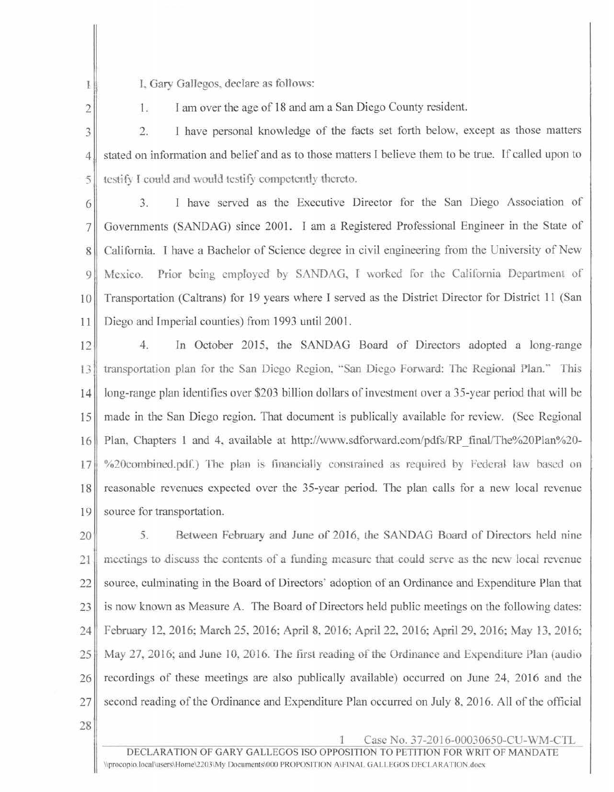1. I. Gary Gallegos, declare as follows:

2

1. I am over the age of 18 and am a San Diego County resident.

3 2. I have personal knowledge of the facts set forth below, except as those matters 4. Stated on information and belief and as to those matters I believe them to be true. If called upon to  $5$  testify I could and would testify competently thereto.

6 3 .) . I have served as the Executive Director for the San Diego Association of 7 Governments (SANDAG) since 2001. I am a Registered Professional Engineer in the State of 8 California. I have a Bachelor of Science degree in civil engineering from the University of New 9 Mexico. Prior being employed by SANDAG, I worked for the California Department of 10 Transportation (Caltrans) for 19 years where I served as the District Director for District 11 (San 11 Diego and Imperial counties) from 1993 until 2001.

12 4. In October 2015, the SANDAG Board of Directors adopted a long-range 13<sup>1</sup> transportation plan for the San Diego Region, "San Diego Forward: The Regional Plan." This 14 long-range plan identifies over \$203 billion dollars of investment over a 35-year period that will be 15 made in the San Diego region. That document is publically available for review. (See Regional 16 Plan. Chapters 1 and 4. available at [http://www.sdforward.com/pdfs/RP \\_final/The%20Plan%20-](http://www.sdforward.com/pdfs/RP_final/The%20Plan%20-%20combined.pdf) 17 \ %20combined.pdf.) The plan is financially constrained as required by Federal law based on 18 reasonable revenues expected over the 35-year period. The plan calls for a new local revenue 19 source for transportation.

20 5. Between February and June of 2016, the SANDAG Board of Directors held nine  $21$  meetings to discuss the contents of a funding measure that could serve as the new local revenue 22 source, culminating in the Board of Directors· adoption of an Ordinance and Expenditure Plan that 23 is now known as Measure A. The Board of Directors held public meetings on the following dates: 24 February 12, 2016; March 25, 2016; April 8, 2016; April 22, 2016; April 29, 2016; May 13, 2016; 25 May 27, 2016; and June 10, 2016. The first reading of the Ordinance and Expenditure Plan (audio 26 recordings of these meetings are also publically available) occurred on June 24, 2016 and the 27 second reading of the Ordinance and Expenditure Plan occurred on July 8, 2016. All of the official

28

1 Case No. 37-2016-00030650-CU-WM-CTL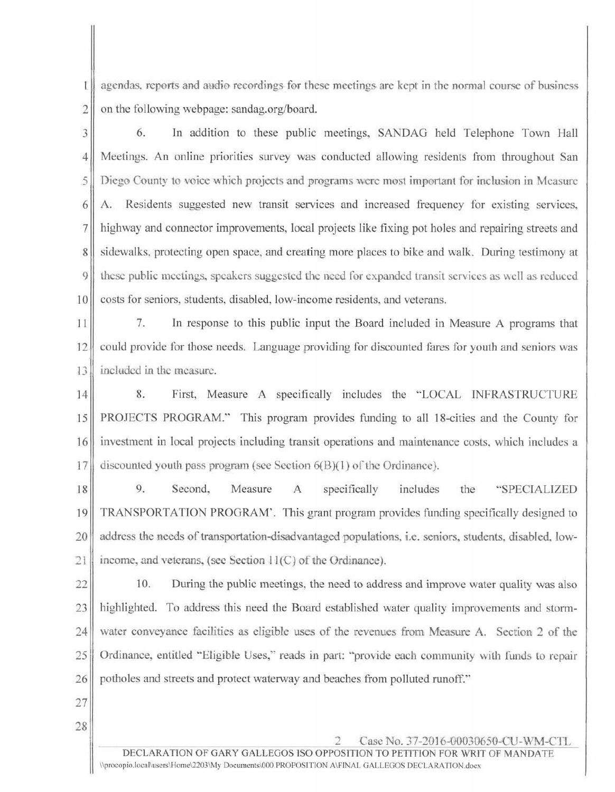1 agendas, reports and m1dio recordings for these meetings are kept in the normal course of business  $2 \parallel$  on the following webpage: sandag.org/board.

3 6. In addition to these public meetings, SANDAG held Telephone Town Hall 4 Meetings. An online priorities survey was conducted allowing residents from throughout San 5 Diego County to voice which projects and programs were most imp0rtant for inclusion in Measure 6 A. Residents suggested new transit services and increased frequency for existing services, 7 highway and connector improvements, local projects like fixing pot holes and repairing streets and 8 sidewalks, protecting open space, and creating more places to bike and walk. During testimony at 9. these public meetings, speakers suggested the need for expanded transit services as well as reduced 10 costs for seniors, students, disabled, low-income residents, and veterans.

11 7. In response to this public input the Board included in Measure A programs that 12 could provide for those needs. Language providing for discounted fares for youth and seniors was 13<sup>1</sup> included in the measure.

14 8. First, Measure A specifically includes the "LOCAL INFRASTRUCTURE 15 PROJECTS PROGRAM." This program provides funding to all 18-cities and the County for 16 investment in local projects including transit operations and maintenance costs, which includes a 17 discounted youth pass program (see Section  $6(B)(1)$  of the Ordinance).

18 9. Second, Measure A specifically includes the "SPECIALIZED 19 TRANSPORTATION PROGRAM'. This grant program provides funding specifically designed to 20 ddress the needs of transportation-disadvantaged populations, i.e. seniors, students, disabled, low-21 income, and veterans, (see Section  $11(C)$  of the Ordinance).

22 10. During the public meetings, the need to address and improve water quality was also 23 highlighted. To address this need the Board established water quality improvements and storm-24 water conveyance facilities as eligible uses of the revenues from Measure A. Section 2 of the 25 Ordinance, entitled "Eligible Uses," reads in part: "provide each community with funds to repair 26 potholes and streets and protect waterway and beaches from polluted runoff."

- 27
- 28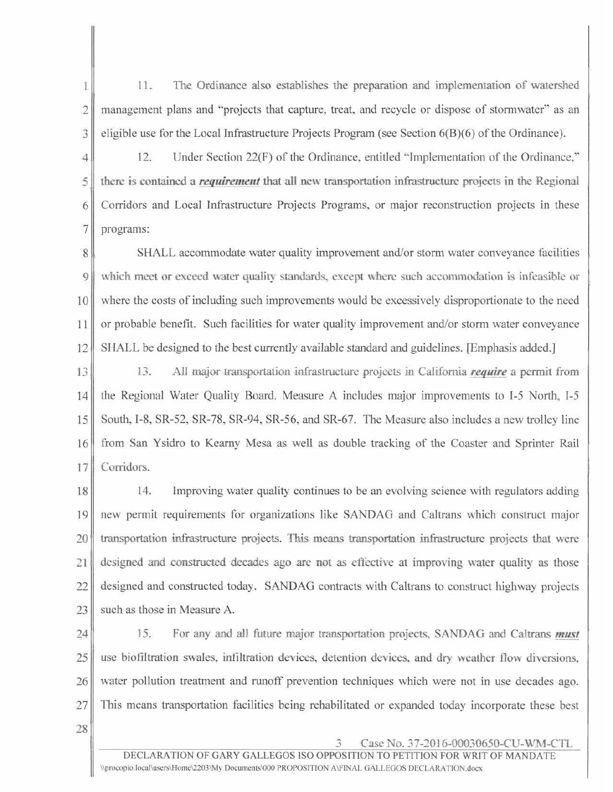1<sup>1</sup> 11. The Ordinance also establishes the preparation and implementation of watershed 2<sup>|</sup> management plans and "projects that capture, treat, and recycle or dispose of stormwater" as an 3 eligible use for the Local Infrastructure Projects Program (see Section 6(B)(6) of the Ordinance).

4 12. Under Section 22(F) of the Ordinance, entitled "Implementation of the Ordinance,"  $5$  there is contained a *requirement* that all new transportation infrastructure projects in the Regional 6 Corridors and Local Infrastructure Projects Programs, or major reconstruction projects in these 7 programs:

8 SHALL accommodate water quality improvement and/or storm water conveyance facilities 9 which meet or exceed water quality standards, except where such accommodation is infeasible or 10 where the costs of including such improvements would be excessively disproportionate to the need 11 or probable benefit. Such facilities for water quality improvement and/or storm water conveyance 12 SHALL be designed to the best currently available standard and guidelines. (Emphasis added.]

13. All major transportation infrastructure projects in California *require* a permit from 14 the Regional Water Quality Board. Measure A includes major improvements to I-5 North, I-5 15 South, I-8, SR-52, SR-78, SR-94, SR-56. and SR-67. The Measure also includes a new trolley line 16 from San Ysidro to Kearny Mesa as well as double tracking of the Coaster and Sprinter Rail 17 Corridors.

18 14. Improving water quality continues to be an evolving science with regulators adding 19 new permit requirements for organizations like SANDAG and Caltrans which construct major 20 transportation infrastructure projects. This means transportation infrastructure projects that were 21 designed and constructed decades ago are not as effective at improving water quality as those 22 designed and constructed today. SANDAG contracts with Caltrans to construct highway projects  $23$  such as those in Measure A.

- 24 15. For any and all future major transportation projects, SANDAG and Caltrans *must*  $25$  use biofiltration swales, infiltration devices, detention devices, and dry weather flow diversions, 26 water pollution treatment and runoff prevention techniques which were not in use decades ago.  $27$  This means transportation facilities being rehabilitated or expanded today incorporate these best
- 28

3 Case.No. 37-2016-00030650-CU-WM-CTL

DECLARATION OF GARY GALLEGOS ISO OPPOSITION TO PETITION FOR WRIT OF MANDATE \\procopio.local\users\Home\2203\My Documents\000 PROPOSITION A\FINAL GALLEGOS DECLARATION.docx